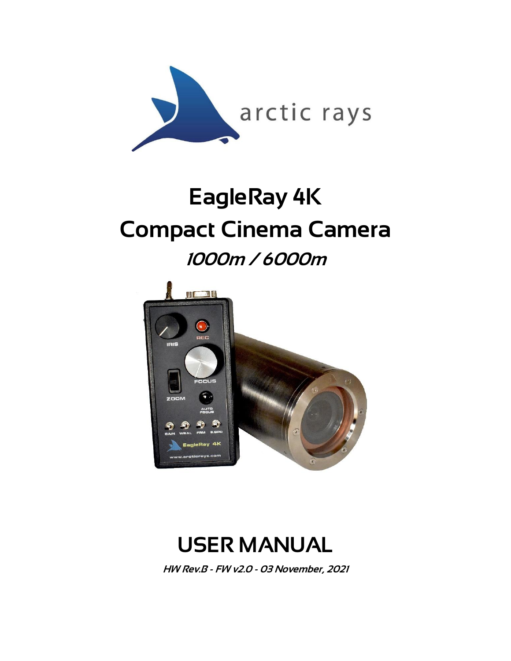

# EagleRay 4K Compact Cinema Camera 1000m / 6000m





HW Rev.B - FW v2.0 - 03 November, 2021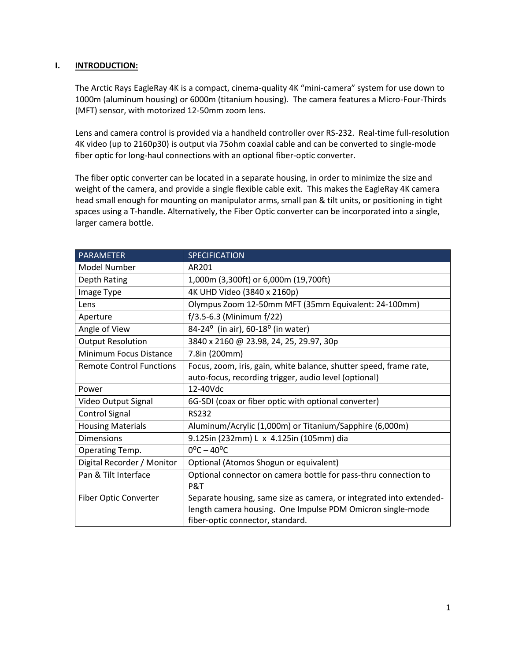#### **I. INTRODUCTION:**

The Arctic Rays EagleRay 4K is a compact, cinema-quality 4K "mini-camera" system for use down to 1000m (aluminum housing) or 6000m (titanium housing). The camera features a Micro-Four-Thirds (MFT) sensor, with motorized 12-50mm zoom lens.

Lens and camera control is provided via a handheld controller over RS-232. Real-time full-resolution 4K video (up to 2160p30) is output via 75ohm coaxial cable and can be converted to single-mode fiber optic for long-haul connections with an optional fiber-optic converter.

The fiber optic converter can be located in a separate housing, in order to minimize the size and weight of the camera, and provide a single flexible cable exit. This makes the EagleRay 4K camera head small enough for mounting on manipulator arms, small pan & tilt units, or positioning in tight spaces using a T-handle. Alternatively, the Fiber Optic converter can be incorporated into a single, larger camera bottle.

| PARAMETER                       | <b>SPECIFICATION</b>                                                |  |
|---------------------------------|---------------------------------------------------------------------|--|
| Model Number                    | AR201                                                               |  |
| Depth Rating                    | 1,000m (3,300ft) or 6,000m (19,700ft)                               |  |
| Image Type                      | 4K UHD Video (3840 x 2160p)                                         |  |
| Lens                            | Olympus Zoom 12-50mm MFT (35mm Equivalent: 24-100mm)                |  |
| Aperture                        | $f/3.5 - 6.3$ (Minimum $f/22$ )                                     |  |
| Angle of View                   | 84-24 <sup>o</sup> (in air), 60-18 <sup>o</sup> (in water)          |  |
| <b>Output Resolution</b>        | 3840 x 2160 @ 23.98, 24, 25, 29.97, 30p                             |  |
| <b>Minimum Focus Distance</b>   | 7.8in (200mm)                                                       |  |
| <b>Remote Control Functions</b> | Focus, zoom, iris, gain, white balance, shutter speed, frame rate,  |  |
|                                 | auto-focus, recording trigger, audio level (optional)               |  |
| Power                           | 12-40Vdc                                                            |  |
| Video Output Signal             | 6G-SDI (coax or fiber optic with optional converter)                |  |
| <b>Control Signal</b>           | <b>RS232</b>                                                        |  |
| <b>Housing Materials</b>        | Aluminum/Acrylic (1,000m) or Titanium/Sapphire (6,000m)             |  |
| <b>Dimensions</b>               | 9.125in (232mm) L x 4.125in (105mm) dia                             |  |
| Operating Temp.                 | $0^{\circ}$ C – 40 $^{\circ}$ C                                     |  |
| Digital Recorder / Monitor      | Optional (Atomos Shogun or equivalent)                              |  |
| Pan & Tilt Interface            | Optional connector on camera bottle for pass-thru connection to     |  |
|                                 | P&T                                                                 |  |
| Fiber Optic Converter           | Separate housing, same size as camera, or integrated into extended- |  |
|                                 | length camera housing. One Impulse PDM Omicron single-mode          |  |
|                                 | fiber-optic connector, standard.                                    |  |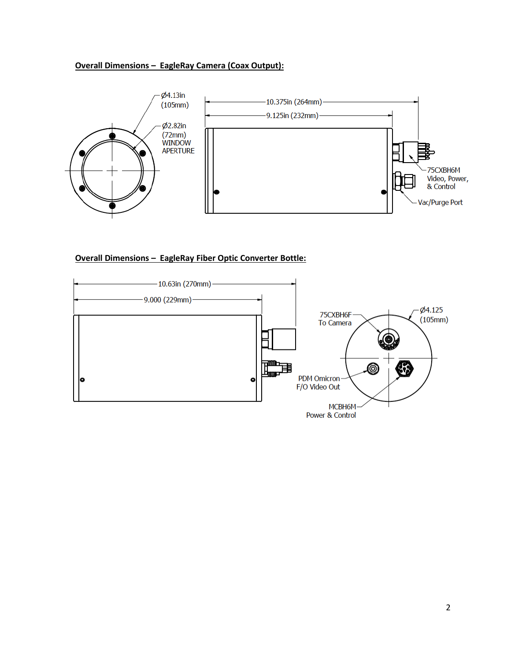# **Overall Dimensions – EagleRay Camera (Coax Output):**



#### **Overall Dimensions – EagleRay Fiber Optic Converter Bottle:**

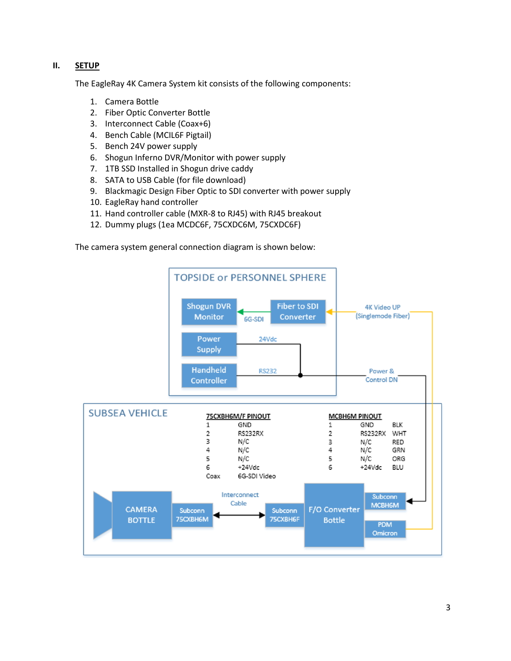# **II. SETUP**

The EagleRay 4K Camera System kit consists of the following components:

- 1. Camera Bottle
- 2. Fiber Optic Converter Bottle
- 3. Interconnect Cable (Coax+6)
- 4. Bench Cable (MCIL6F Pigtail)
- 5. Bench 24V power supply
- 6. Shogun Inferno DVR/Monitor with power supply
- 7. 1TB SSD Installed in Shogun drive caddy
- 8. SATA to USB Cable (for file download)
- 9. Blackmagic Design Fiber Optic to SDI converter with power supply
- 10. EagleRay hand controller
- 11. Hand controller cable (MXR-8 to RJ45) with RJ45 breakout
- 12. Dummy plugs (1ea MCDC6F, 75CXDC6M, 75CXDC6F)

The camera system general connection diagram is shown below:

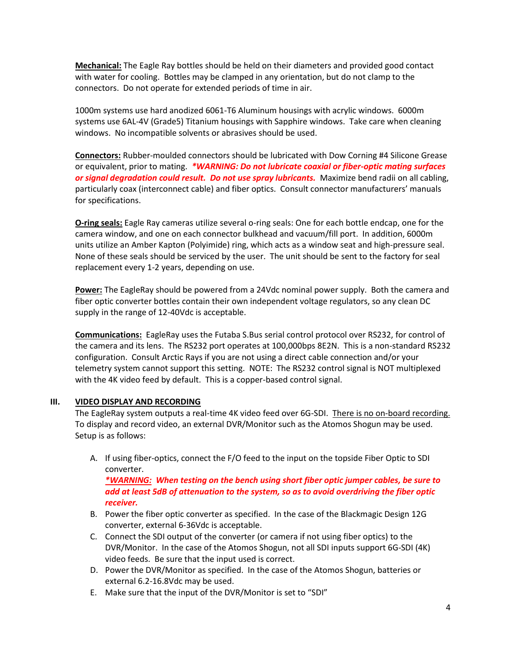**Mechanical:** The Eagle Ray bottles should be held on their diameters and provided good contact with water for cooling. Bottles may be clamped in any orientation, but do not clamp to the connectors. Do not operate for extended periods of time in air.

1000m systems use hard anodized 6061-T6 Aluminum housings with acrylic windows. 6000m systems use 6AL-4V (Grade5) Titanium housings with Sapphire windows. Take care when cleaning windows. No incompatible solvents or abrasives should be used.

**Connectors:** Rubber-moulded connectors should be lubricated with Dow Corning #4 Silicone Grease or equivalent, prior to mating. *\*WARNING: Do not lubricate coaxial or fiber-optic mating surfaces or signal degradation could result. Do not use spray lubricants.* Maximize bend radii on all cabling, particularly coax (interconnect cable) and fiber optics. Consult connector manufacturers' manuals for specifications.

**O-ring seals:** Eagle Ray cameras utilize several o-ring seals: One for each bottle endcap, one for the camera window, and one on each connector bulkhead and vacuum/fill port. In addition, 6000m units utilize an Amber Kapton (Polyimide) ring, which acts as a window seat and high-pressure seal. None of these seals should be serviced by the user. The unit should be sent to the factory for seal replacement every 1-2 years, depending on use.

**Power:** The EagleRay should be powered from a 24Vdc nominal power supply. Both the camera and fiber optic converter bottles contain their own independent voltage regulators, so any clean DC supply in the range of 12-40Vdc is acceptable.

**Communications:** EagleRay uses the Futaba S.Bus serial control protocol over RS232, for control of the camera and its lens. The RS232 port operates at 100,000bps 8E2N. This is a non-standard RS232 configuration. Consult Arctic Rays if you are not using a direct cable connection and/or your telemetry system cannot support this setting. NOTE: The RS232 control signal is NOT multiplexed with the 4K video feed by default. This is a copper-based control signal.

#### **III. VIDEO DISPLAY AND RECORDING**

The EagleRay system outputs a real-time 4K video feed over 6G-SDI. There is no on-board recording. To display and record video, an external DVR/Monitor such as the Atomos Shogun may be used. Setup is as follows:

A. If using fiber-optics, connect the F/O feed to the input on the topside Fiber Optic to SDI converter.

*\*WARNING: When testing on the bench using short fiber optic jumper cables, be sure to add at least 5dB of attenuation to the system, so as to avoid overdriving the fiber optic receiver.*

- B. Power the fiber optic converter as specified. In the case of the Blackmagic Design 12G converter, external 6-36Vdc is acceptable.
- C. Connect the SDI output of the converter (or camera if not using fiber optics) to the DVR/Monitor. In the case of the Atomos Shogun, not all SDI inputs support 6G-SDI (4K) video feeds. Be sure that the input used is correct.
- D. Power the DVR/Monitor as specified. In the case of the Atomos Shogun, batteries or external 6.2-16.8Vdc may be used.
- E. Make sure that the input of the DVR/Monitor is set to "SDI"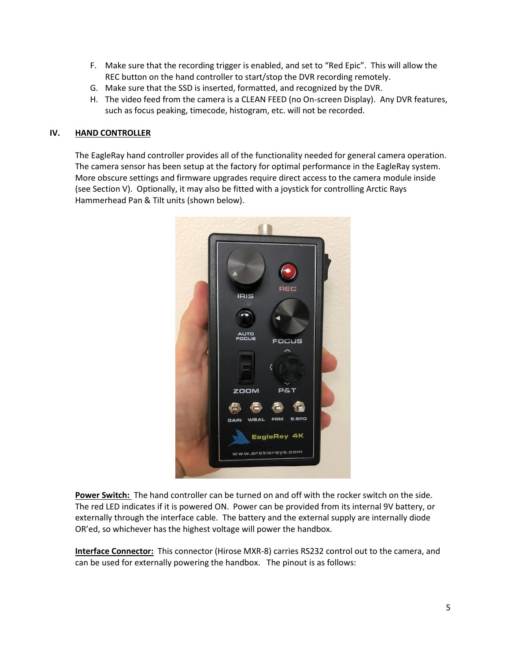- F. Make sure that the recording trigger is enabled, and set to "Red Epic". This will allow the REC button on the hand controller to start/stop the DVR recording remotely.
- G. Make sure that the SSD is inserted, formatted, and recognized by the DVR.
- H. The video feed from the camera is a CLEAN FEED (no On-screen Display). Any DVR features, such as focus peaking, timecode, histogram, etc. will not be recorded.

#### **IV. HAND CONTROLLER**

The EagleRay hand controller provides all of the functionality needed for general camera operation. The camera sensor has been setup at the factory for optimal performance in the EagleRay system. More obscure settings and firmware upgrades require direct access to the camera module inside (see Section V). Optionally, it may also be fitted with a joystick for controlling Arctic Rays Hammerhead Pan & Tilt units (shown below).



**Power Switch:** The hand controller can be turned on and off with the rocker switch on the side. The red LED indicates if it is powered ON. Power can be provided from its internal 9V battery, or externally through the interface cable. The battery and the external supply are internally diode OR'ed, so whichever has the highest voltage will power the handbox.

**Interface Connector:** This connector (Hirose MXR-8) carries RS232 control out to the camera, and can be used for externally powering the handbox. The pinout is as follows: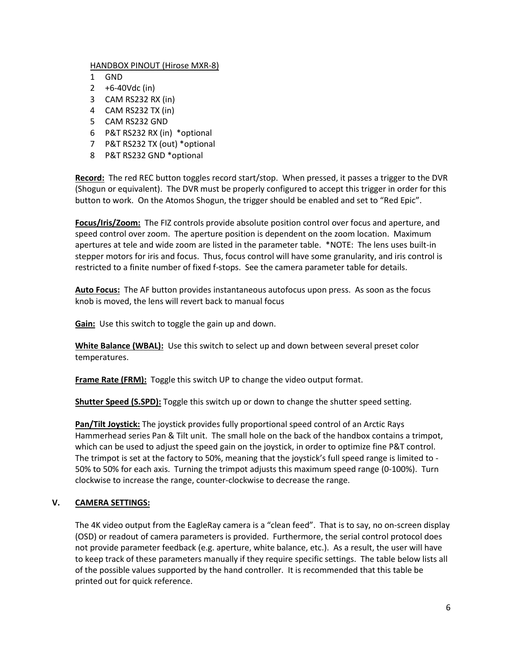#### HANDBOX PINOUT (Hirose MXR-8)

- 1 GND
- 2 +6-40Vdc (in)
- 3 CAM RS232 RX (in)
- 4 CAM RS232 TX (in)
- 5 CAM RS232 GND
- 6 P&T RS232 RX (in) \*optional
- 7 P&T RS232 TX (out) \*optional
- 8 P&T RS232 GND \*optional

**Record:** The red REC button toggles record start/stop. When pressed, it passes a trigger to the DVR (Shogun or equivalent). The DVR must be properly configured to accept this trigger in order for this button to work. On the Atomos Shogun, the trigger should be enabled and set to "Red Epic".

**Focus/Iris/Zoom:** The FIZ controls provide absolute position control over focus and aperture, and speed control over zoom. The aperture position is dependent on the zoom location. Maximum apertures at tele and wide zoom are listed in the parameter table. \*NOTE: The lens uses built-in stepper motors for iris and focus. Thus, focus control will have some granularity, and iris control is restricted to a finite number of fixed f-stops. See the camera parameter table for details.

**Auto Focus:** The AF button provides instantaneous autofocus upon press. As soon as the focus knob is moved, the lens will revert back to manual focus

**Gain:** Use this switch to toggle the gain up and down.

**White Balance (WBAL):** Use this switch to select up and down between several preset color temperatures.

**Frame Rate (FRM):** Toggle this switch UP to change the video output format.

**Shutter Speed (S.SPD):** Toggle this switch up or down to change the shutter speed setting.

**Pan/Tilt Joystick:** The joystick provides fully proportional speed control of an Arctic Rays Hammerhead series Pan & Tilt unit. The small hole on the back of the handbox contains a trimpot, which can be used to adjust the speed gain on the joystick, in order to optimize fine P&T control. The trimpot is set at the factory to 50%, meaning that the joystick's full speed range is limited to - 50% to 50% for each axis. Turning the trimpot adjusts this maximum speed range (0-100%). Turn clockwise to increase the range, counter-clockwise to decrease the range.

# **V. CAMERA SETTINGS:**

The 4K video output from the EagleRay camera is a "clean feed". That is to say, no on-screen display (OSD) or readout of camera parameters is provided. Furthermore, the serial control protocol does not provide parameter feedback (e.g. aperture, white balance, etc.). As a result, the user will have to keep track of these parameters manually if they require specific settings. The table below lists all of the possible values supported by the hand controller. It is recommended that this table be printed out for quick reference.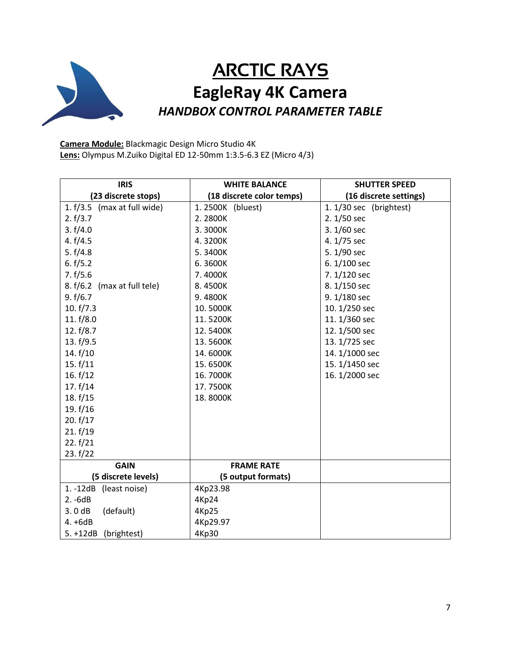

# ARCTIC RAYS **EagleRay 4K Camera** *HANDBOX CONTROL PARAMETER TABLE*

**Camera Module:** Blackmagic Design Micro Studio 4K **Lens:** Olympus M.Zuiko Digital ED 12-50mm 1:3.5-6.3 EZ (Micro 4/3)

| <b>IRIS</b>                 | <b>WHITE BALANCE</b>      | <b>SHUTTER SPEED</b>    |
|-----------------------------|---------------------------|-------------------------|
| (23 discrete stops)         | (18 discrete color temps) | (16 discrete settings)  |
| 1. f/3.5 (max at full wide) | 1.2500K (bluest)          | 1. 1/30 sec (brightest) |
| 2. f/3.7                    | 2.2800K                   | 2.1/50 sec              |
| 3. f/4.0                    | 3.3000K                   | 3.1/60 sec              |
| 4. f/4.5                    | 4.3200K                   | 4.1/75 sec              |
| 5. $f/4.8$                  | 5.3400K                   | 5.1/90 sec              |
| 6. f/5.2                    | 6.3600K                   | 6.1/100 sec             |
| 7. f/5.6                    | 7.4000K                   | 7.1/120 sec             |
| 8. f/6.2 (max at full tele) | 8.4500K                   | 8.1/150 sec             |
| 9. f/6.7                    | 9.4800K                   | 9.1/180 sec             |
| 10. $f/7.3$                 | 10.5000K                  | 10. 1/250 sec           |
| 11. $f/8.0$                 | 11.5200K                  | 11. 1/360 sec           |
| 12. $f/8.7$                 | 12.5400K                  | 12.1/500 sec            |
| 13. f/9.5                   | 13.5600K                  | 13.1/725 sec            |
| 14. $f/10$                  | 14.6000K                  | 14.1/1000 sec           |
| 15. f/11                    | 15.6500K                  | 15.1/1450 sec           |
| 16. $f/12$                  | 16.7000K                  | 16. 1/2000 sec          |
| 17. $f/14$                  | 17.7500K                  |                         |
| 18. f/15                    | 18.8000K                  |                         |
| 19. f/16                    |                           |                         |
| 20. $f/17$                  |                           |                         |
| 21. f/19                    |                           |                         |
| 22. f/21                    |                           |                         |
| 23. f/22                    |                           |                         |
| <b>GAIN</b>                 | <b>FRAME RATE</b>         |                         |
| (5 discrete levels)         | (5 output formats)        |                         |
| $1. -12dB$<br>(least noise) | 4Kp23.98                  |                         |
| $2. -6dB$                   | <b>4Kp24</b>              |                         |
| 3.0dB<br>(default)          | <b>4Kp25</b>              |                         |
| $4. +6dB$                   | 4Kp29.97                  |                         |
| $5. + 12dB$<br>(brightest)  | 4Kp30                     |                         |